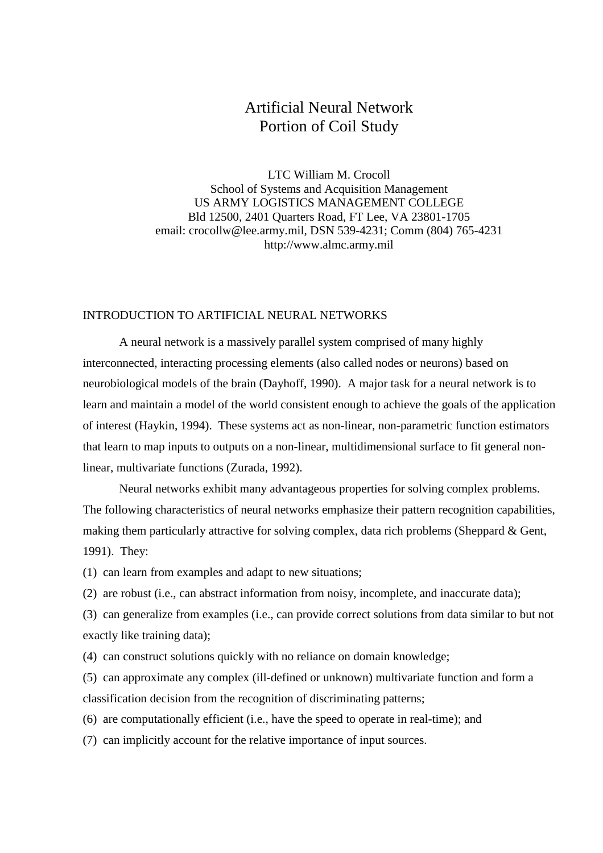# Artificial Neural Network Portion of Coil Study

LTC William M. Crocoll School of Systems and Acquisition Management US ARMY LOGISTICS MANAGEMENT COLLEGE Bld 12500, 2401 Quarters Road, FT Lee, VA 23801-1705 email: crocollw@lee.army.mil, DSN 539-4231; Comm (804) 765-4231 http://www.almc.army.mil

### INTRODUCTION TO ARTIFICIAL NEURAL NETWORKS

A neural network is a massively parallel system comprised of many highly interconnected, interacting processing elements (also called nodes or neurons) based on neurobiological models of the brain (Dayhoff, 1990). A major task for a neural network is to learn and maintain a model of the world consistent enough to achieve the goals of the application of interest (Haykin, 1994). These systems act as non-linear, non-parametric function estimators that learn to map inputs to outputs on a non-linear, multidimensional surface to fit general nonlinear, multivariate functions (Zurada, 1992).

Neural networks exhibit many advantageous properties for solving complex problems. The following characteristics of neural networks emphasize their pattern recognition capabilities, making them particularly attractive for solving complex, data rich problems (Sheppard & Gent, 1991). They:

(1) can learn from examples and adapt to new situations;

(2) are robust (i.e., can abstract information from noisy, incomplete, and inaccurate data);

(3) can generalize from examples (i.e., can provide correct solutions from data similar to but not exactly like training data);

(4) can construct solutions quickly with no reliance on domain knowledge;

(5) can approximate any complex (ill-defined or unknown) multivariate function and form a classification decision from the recognition of discriminating patterns;

(6) are computationally efficient (i.e., have the speed to operate in real-time); and

(7) can implicitly account for the relative importance of input sources.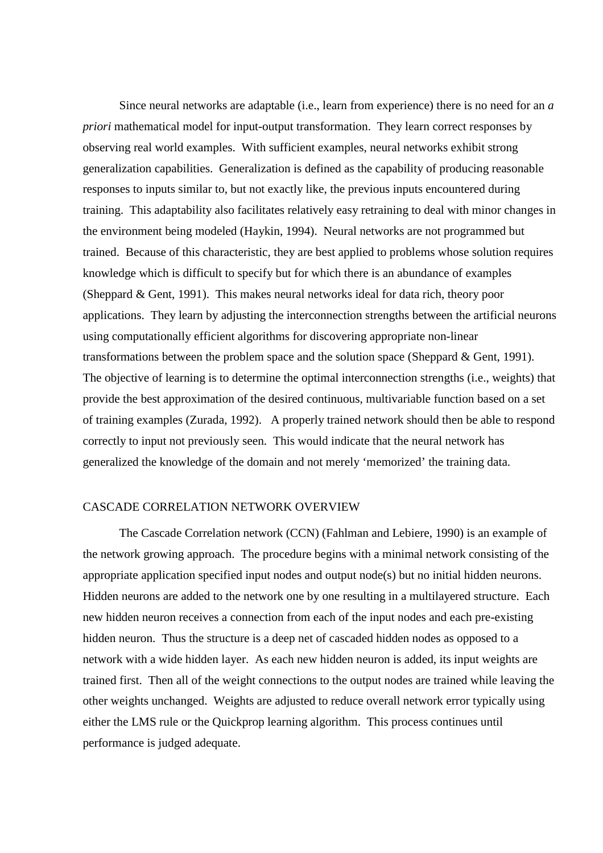Since neural networks are adaptable (i.e., learn from experience) there is no need for an *a priori* mathematical model for input-output transformation. They learn correct responses by observing real world examples. With sufficient examples, neural networks exhibit strong generalization capabilities. Generalization is defined as the capability of producing reasonable responses to inputs similar to, but not exactly like, the previous inputs encountered during training. This adaptability also facilitates relatively easy retraining to deal with minor changes in the environment being modeled (Haykin, 1994). Neural networks are not programmed but trained. Because of this characteristic, they are best applied to problems whose solution requires knowledge which is difficult to specify but for which there is an abundance of examples (Sheppard & Gent, 1991). This makes neural networks ideal for data rich, theory poor applications. They learn by adjusting the interconnection strengths between the artificial neurons using computationally efficient algorithms for discovering appropriate non-linear transformations between the problem space and the solution space (Sheppard & Gent, 1991). The objective of learning is to determine the optimal interconnection strengths (i.e., weights) that provide the best approximation of the desired continuous, multivariable function based on a set of training examples (Zurada, 1992). A properly trained network should then be able to respond correctly to input not previously seen. This would indicate that the neural network has generalized the knowledge of the domain and not merely 'memorized' the training data.

#### CASCADE CORRELATION NETWORK OVERVIEW

The Cascade Correlation network (CCN) (Fahlman and Lebiere, 1990) is an example of the network growing approach. The procedure begins with a minimal network consisting of the appropriate application specified input nodes and output node(s) but no initial hidden neurons. Hidden neurons are added to the network one by one resulting in a multilayered structure. Each new hidden neuron receives a connection from each of the input nodes and each pre-existing hidden neuron. Thus the structure is a deep net of cascaded hidden nodes as opposed to a network with a wide hidden layer. As each new hidden neuron is added, its input weights are trained first. Then all of the weight connections to the output nodes are trained while leaving the other weights unchanged. Weights are adjusted to reduce overall network error typically using either the LMS rule or the Quickprop learning algorithm. This process continues until performance is judged adequate.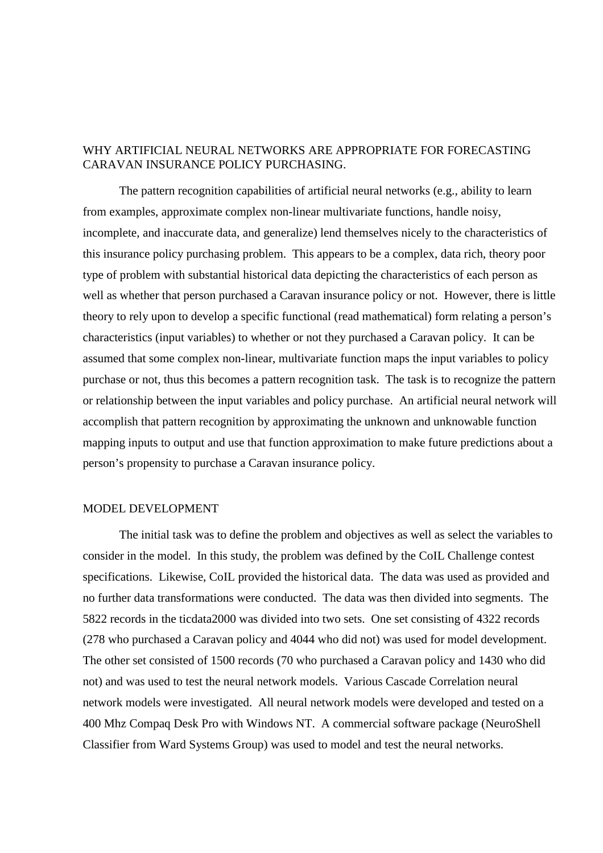# WHY ARTIFICIAL NEURAL NETWORKS ARE APPROPRIATE FOR FORECASTING CARAVAN INSURANCE POLICY PURCHASING.

The pattern recognition capabilities of artificial neural networks (e.g., ability to learn from examples, approximate complex non-linear multivariate functions, handle noisy, incomplete, and inaccurate data, and generalize) lend themselves nicely to the characteristics of this insurance policy purchasing problem. This appears to be a complex, data rich, theory poor type of problem with substantial historical data depicting the characteristics of each person as well as whether that person purchased a Caravan insurance policy or not. However, there is little theory to rely upon to develop a specific functional (read mathematical) form relating a person's characteristics (input variables) to whether or not they purchased a Caravan policy. It can be assumed that some complex non-linear, multivariate function maps the input variables to policy purchase or not, thus this becomes a pattern recognition task. The task is to recognize the pattern or relationship between the input variables and policy purchase. An artificial neural network will accomplish that pattern recognition by approximating the unknown and unknowable function mapping inputs to output and use that function approximation to make future predictions about a person's propensity to purchase a Caravan insurance policy.

### MODEL DEVELOPMENT

The initial task was to define the problem and objectives as well as select the variables to consider in the model. In this study, the problem was defined by the CoIL Challenge contest specifications. Likewise, CoIL provided the historical data. The data was used as provided and no further data transformations were conducted. The data was then divided into segments. The 5822 records in the ticdata2000 was divided into two sets. One set consisting of 4322 records (278 who purchased a Caravan policy and 4044 who did not) was used for model development. The other set consisted of 1500 records (70 who purchased a Caravan policy and 1430 who did not) and was used to test the neural network models. Various Cascade Correlation neural network models were investigated. All neural network models were developed and tested on a 400 Mhz Compaq Desk Pro with Windows NT. A commercial software package (NeuroShell Classifier from Ward Systems Group) was used to model and test the neural networks.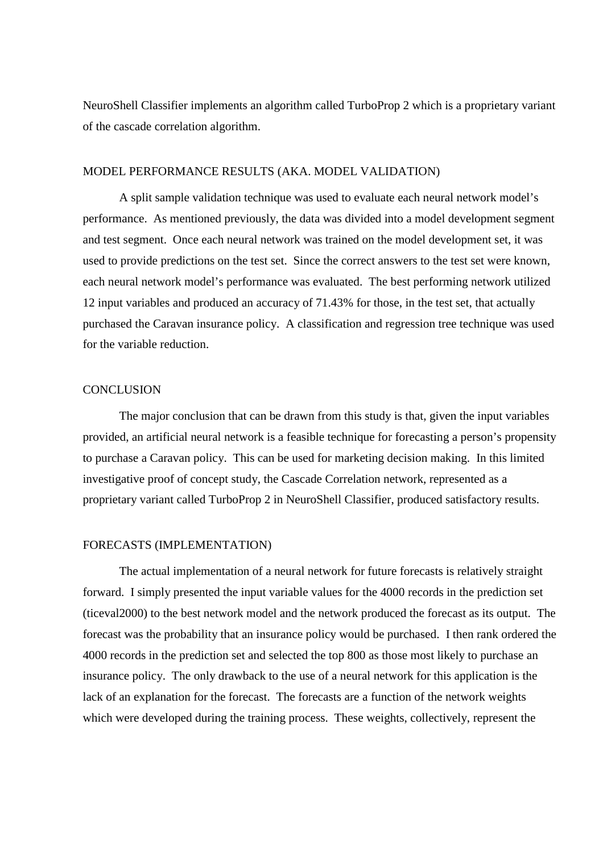NeuroShell Classifier implements an algorithm called TurboProp 2 which is a proprietary variant of the cascade correlation algorithm.

### MODEL PERFORMANCE RESULTS (AKA. MODEL VALIDATION)

A split sample validation technique was used to evaluate each neural network model's performance. As mentioned previously, the data was divided into a model development segment and test segment. Once each neural network was trained on the model development set, it was used to provide predictions on the test set. Since the correct answers to the test set were known, each neural network model's performance was evaluated. The best performing network utilized 12 input variables and produced an accuracy of 71.43% for those, in the test set, that actually purchased the Caravan insurance policy. A classification and regression tree technique was used for the variable reduction.

#### **CONCLUSION**

The major conclusion that can be drawn from this study is that, given the input variables provided, an artificial neural network is a feasible technique for forecasting a person's propensity to purchase a Caravan policy. This can be used for marketing decision making. In this limited investigative proof of concept study, the Cascade Correlation network, represented as a proprietary variant called TurboProp 2 in NeuroShell Classifier, produced satisfactory results.

#### FORECASTS (IMPLEMENTATION)

The actual implementation of a neural network for future forecasts is relatively straight forward. I simply presented the input variable values for the 4000 records in the prediction set (ticeval2000) to the best network model and the network produced the forecast as its output. The forecast was the probability that an insurance policy would be purchased. I then rank ordered the 4000 records in the prediction set and selected the top 800 as those most likely to purchase an insurance policy. The only drawback to the use of a neural network for this application is the lack of an explanation for the forecast. The forecasts are a function of the network weights which were developed during the training process. These weights, collectively, represent the